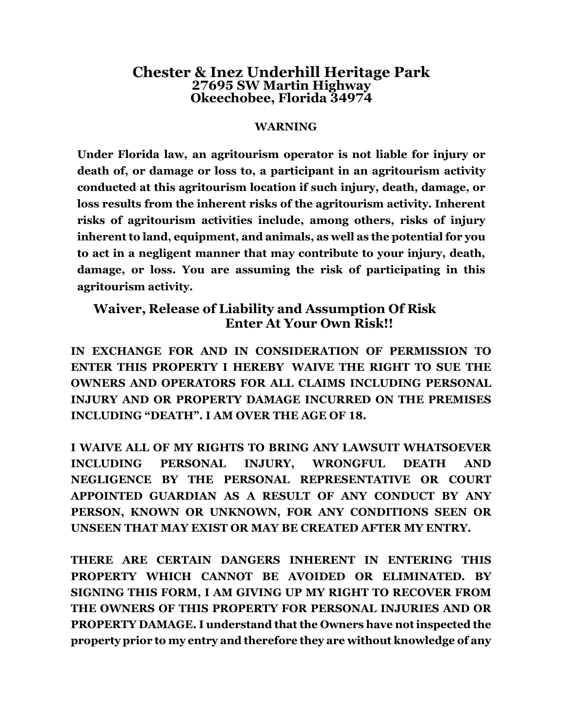# **Chester & Inez Underhill Heritage Park 27695 SW Martin Highway Okeechobee, Florida 34974**

#### **WARNING**

**Under Florida law, an agritourism operator is not liable for injury or death of, or damage or loss to, a participant in an agritourism activity conducted at this agritourism location if such injury, death, damage, or loss results from the inherent risks of the agritourism activity. Inherent risks of agritourism activities include, among others, risks of injury inherent to land, equipment, and animals, as well as the potential for you to act in a negligent manner that may contribute to your injury, death, damage, or loss. You are assuming the risk of participating in this agritourism activity.**

### **Waiver, Release of Liability and Assumption Of Risk Enter At Your Own Risk!!**

**IN EXCHANGE FOR AND IN CONSIDERATION OF PERMISSION TO ENTER THIS PROPERTY I HEREBY WAIVE THE RIGHT TO SUE THE OWNERS AND OPERATORS FOR ALL CLAIMS INCLUDING PERSONAL INJURY AND OR PROPERTY DAMAGE INCURRED ON THE PREMISES INCLUDING "DEATH". I AM OVER THE AGE OF 18.**

**I WAIVE ALL OF MY RIGHTS TO BRING ANY LAWSUIT WHATSOEVER INCLUDING PERSONAL INJURY, WRONGFUL DEATH AND NEGLIGENCE BY THE PERSONAL REPRESENTATIVE OR COURT APPOINTED GUARDIAN AS A RESULT OF ANY CONDUCT BY ANY PERSON, KNOWN OR UNKNOWN, FOR ANY CONDITIONS SEEN OR UNSEEN THAT MAY EXIST OR MAY BE CREATED AFTER MY ENTRY.**

**THERE ARE CERTAIN DANGERS INHERENT IN ENTERING THIS PROPERTY WHICH CANNOT BE AVOIDED OR ELIMINATED. BY SIGNING THIS FORM, I AM GIVING UP MY RIGHT TO RECOVER FROM THE OWNERS OF THIS PROPERTY FOR PERSONAL INJURIES AND OR PROPERTY DAMAGE. I understand that the Owners have notinspected the property prior to my entry and therefore they are without knowledge of any**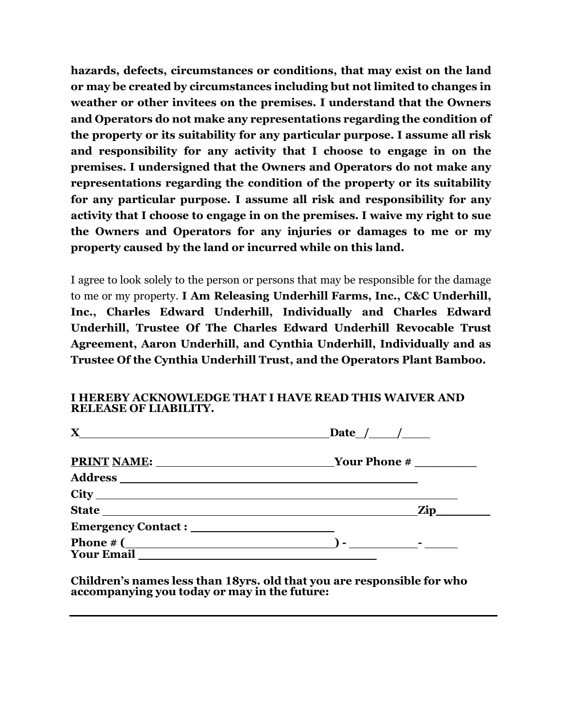**hazards, defects, circumstances or conditions, that may exist on the land or may be created by circumstances including but not limited to changes in weather or other invitees on the premises. I understand that the Owners and Operators do not make any representations regarding the condition of the property or its suitability for any particular purpose. I assume all risk and responsibility for any activity that I choose to engage in on the premises. I undersigned that the Owners and Operators do not make any representations regarding the condition of the property or its suitability for any particular purpose. I assume all risk and responsibility for any activity that I choose to engage in on the premises. I waive my right to sue the Owners and Operators for any injuries or damages to me or my property caused by the land or incurred while on this land.**

I agree to look solely to the person or persons that may be responsible for the damage to me or my property. **I Am Releasing Underhill Farms, Inc., C&C Underhill, Inc., Charles Edward Underhill, Individually and Charles Edward Underhill, Trustee Of The Charles Edward Underhill Revocable Trust Agreement, Aaron Underhill, and Cynthia Underhill, Individually and as Trustee Of the Cynthia Underhill Trust, and the Operators Plant Bamboo.**

#### **I HEREBY ACKNOWLEDGE THAT I HAVE READ THIS WAIVER AND RELEASE OF LIABILITY.**

| $\mathbf X$                              | $\Delta$ Date $\angle$ $\angle$ $\angle$ |
|------------------------------------------|------------------------------------------|
|                                          | PRINT NAME: Vour Phone #                 |
| <b>Address</b>                           |                                          |
|                                          |                                          |
|                                          | <b>Zip</b>                               |
|                                          |                                          |
| <b>Phone</b> $\#$ (<br><b>Your Email</b> | $\overline{a}$ ) - $\overline{a}$ -      |

**Children's names less than 18yrs. old that you are responsible for who accompanying you today or may in the future:**